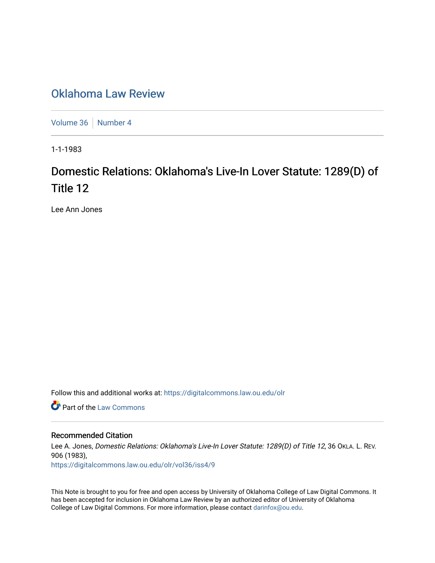## [Oklahoma Law Review](https://digitalcommons.law.ou.edu/olr)

[Volume 36](https://digitalcommons.law.ou.edu/olr/vol36) | [Number 4](https://digitalcommons.law.ou.edu/olr/vol36/iss4)

1-1-1983

# Domestic Relations: Oklahoma's Live-In Lover Statute: 1289(D) of Title 12

Lee Ann Jones

Follow this and additional works at: [https://digitalcommons.law.ou.edu/olr](https://digitalcommons.law.ou.edu/olr?utm_source=digitalcommons.law.ou.edu%2Folr%2Fvol36%2Fiss4%2F9&utm_medium=PDF&utm_campaign=PDFCoverPages)

**Part of the [Law Commons](http://network.bepress.com/hgg/discipline/578?utm_source=digitalcommons.law.ou.edu%2Folr%2Fvol36%2Fiss4%2F9&utm_medium=PDF&utm_campaign=PDFCoverPages)** 

#### Recommended Citation

Lee A. Jones, Domestic Relations: Oklahoma's Live-In Lover Statute: 1289(D) of Title 12, 36 OKLA. L. REV. 906 (1983), [https://digitalcommons.law.ou.edu/olr/vol36/iss4/9](https://digitalcommons.law.ou.edu/olr/vol36/iss4/9?utm_source=digitalcommons.law.ou.edu%2Folr%2Fvol36%2Fiss4%2F9&utm_medium=PDF&utm_campaign=PDFCoverPages) 

This Note is brought to you for free and open access by University of Oklahoma College of Law Digital Commons. It has been accepted for inclusion in Oklahoma Law Review by an authorized editor of University of Oklahoma College of Law Digital Commons. For more information, please contact [darinfox@ou.edu.](mailto:darinfox@ou.edu)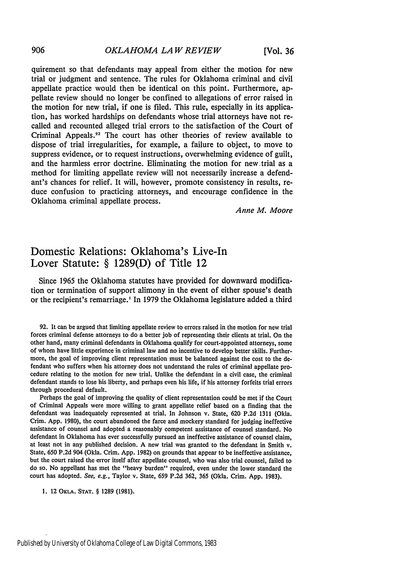quirement so that defendants may appeal from either the motion for new trial or judgment and sentence. The rules for Oklahoma criminal and civil appellate practice would then be identical on this point. Furthermore, appellate review should no longer be confined to allegations of error raised in the motion for new trial, if one is filed. This rule, especially in its application, has worked hardships on defendants whose trial attorneys have not recalled and recounted alleged trial errors to the satisfaction of the Court of Criminal Appeals.<sup>92</sup> The court has other theories of review available to dispose of trial irregularities, for example, a failure to object, to move to suppress evidence, or to request instructions, overwhelming evidence of guilt, and the harmless error doctrine. Eliminating the motion for new trial as a method for limiting appellate review will not necessarily increase a defendant's chances for relief. It will, however, promote consistency in results, reduce confusion to practicing attorneys, and encourage confidence in the Oklahoma criminal appellate process.

*Anne M. Moore*

### Domestic Relations: Oklahoma's Live-In Lover Statute: **§ 1289(D)** of Title 12

Since **1965** the Oklahoma statutes have provided for downward modification or termination of support alimony in the event of either spouse's death or the recipient's remarriage.' In **1979** the Oklahoma legislature added a third

92. It can be argued that limiting appellate review to errors raised in the motion for new trial forces criminal defense attorneys to do a better job of representing their clients at trial. On the other hand, many criminal defendants in Oklahoma qualify for court-appointed attorneys, some of whom have little experience in criminal law and no incentive to develop better skills. Furthermore, the goal of improving client representation must be balanced against the cost to the defendant who suffers when his attorney does not understand the rules of criminal appellate procedure relating to the motion for new trial. Unlike the defendant in a civil case, the criminal defendant stands to lose his liberty, and perhaps even his life, if his attorney forfeits trial errors through procedural default.

Perhaps the goal of improving the quality of client representation could be met if the Court of Criminal Appeals were more willing to grant appellate relief based on a finding that the defendant was inadequately represented at trial. In Johnson v. State, 620 P.2d 1311 (Okla. Crim. App. 1980), the court abandoned the farce and mockery standard for judging ineffective assistance of counsel and adopted a reasonably competent assistance of counsel standard. No defendant in Oklahoma has ever successfully pursued an ineffective assistance of counsel claim, at least not in any published decision. A new trial was granted to the defendant in Smith v. State, 650 P.2d 904 (Okla. Crim. App. 1982) on grounds that appear to be ineffective assistance, but the court raised the error itself after appellate counsel, who was also trial counsel, failed to do so. No appellant has met the "heavy burden" required, even under the lower standard the court has adopted. See, e.g., Taylor v. State, 659 P.2d 362, 365 (Okla. Crim. App. 1983).

**1. 12** OKLA. **STAT.** § **1289** (1981).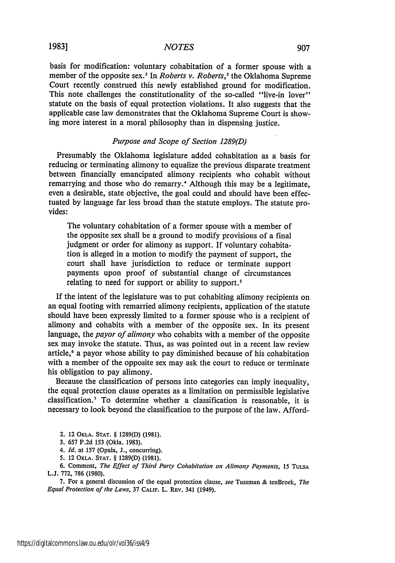#### *NOTES*

basis for modification: voluntary cohabitation of a former spouse with a member of the opposite sex.<sup>2</sup> In *Roberts v. Roberts*,<sup>3</sup> the Oklahoma Supreme Court recently construed this newly established ground for modification. This note challenges the constitutionality of the so-called "live-in lover" statute on the basis of equal protection violations. It also suggests that the applicable case law demonstrates that the Oklahoma Supreme Court is showing more interest in a moral philosophy than in dispensing justice.

#### *Purpose and Scope of Section 1289(D)*

Presumably the Oklahoma legislature added cohabitation as a basis for reducing or terminating alimony to equalize the previous disparate treatment between financially emancipated alimony recipients who cohabit without remarrying and those who do remarry.<sup>4</sup> Although this may be a legitimate, even a desirable, state objective, the goal could and should have been effectuated by language far less broad than the statute employs. The statute provides:

The voluntary cohabitation of a former spouse with a member of the opposite sex shall be a ground to modify provisions of a final judgment or order for alimony as support. If voluntary cohabitation is alleged in a motion to modify the payment of support, the court shall have jurisdiction to reduce or terminate support payments upon proof of substantial change of circumstances relating to need for support or ability to support.<sup>5</sup>

If the intent of the legislature was to put cohabiting alimony recipients on an equal footing with remarried alimony recipients, application of the statute should have been expressly limited to a former spouse who is a recipient of alimony and cohabits with a member of the opposite sex. In its present language, the *payor of alimony* who cohabits with a member of the opposite sex may invoke the statute. Thus, as was pointed out in a recent law review article,<sup>6</sup> a payor whose ability to pay diminished because of his cohabitation with a member of the opposite sex may ask the court to reduce or terminate his obligation to pay alimony.

Because the classification of persons into categories can imply inequality, the equal protection clause operates as a limitation on permissible legislative classification.<sup>7</sup>To determine whether a classification is reasonable, it is necessary to look beyond the classification to the purpose of the law. Afford-

- **2.** 12 **OKLA. STAT.** § **1289(D) (1981).**
- **3. 657 P.2d 153** (Okla. **1983).**
- *4. Id.* at 157 (Opala, **J.,** concurring).
- **5.** 12 OKLA. **STAT.** § **1289(D) (1981).**
- **6.** Comment, *The Effect of Third Party Cohabitation on Alimony Payments, 15* **TULSA L.J. 772, 786 (1980).**

**7.** For a general discussion of the equal protection clause, *see* Tussman **&** tenBroek, *The Equal Protection of the Laws,* **<sup>37</sup>CALIF. L. REV.** 341 (1949).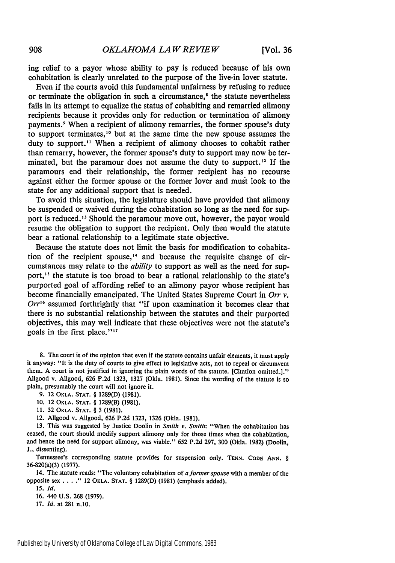ing relief to a payor whose ability to pay is reduced because of his own cohabitation is clearly unrelated to the purpose of the live-in lover statute.

Even if the courts avoid this fundamental unfairness by refusing to reduce or terminate the obligation in such a circumstance,<sup>8</sup> the statute nevertheless fails in its attempt to equalize the status of cohabiting and remarried alimony recipients because it provides only for reduction or termination of alimony payments.9 When a recipient of alimony remarries, the former spouse's duty to support terminates,<sup>10</sup> but at the same time the new spouse assumes the duty to support." When a recipient of alimony chooses to cohabit rather than remarry, however, the former spouse's duty to support may now be terminated, but the paramour does not assume the duty to support.<sup>12</sup> If the paramours end their relationship, the former recipient has no recourse against either the former spouse or the former lover and must look to the state for any additional support that is needed.

To avoid this situation, the legislature should have provided that alimony be suspended or waived during the cohabitation so long as the need for support is reduced.<sup>13</sup> Should the paramour move out, however, the payor would resume the obligation to support the recipient. Only then would the statute bear a rational relationship to a legitimate state objective.

Because the statute does not limit the basis for modification to cohabitation of the recipient spouse,"' and because the requisite change of circumstances may relate to the *ability* to support as well as the need for support,<sup>15</sup> the statute is too broad to bear a rational relationship to the state's purported goal of affording relief to an alimony payor whose recipient has become financially emancipated. The United States Supreme Court in *Orr v. Orr'6* assumed forthrightly that "if upon examination it becomes clear that there is no substantial relationship between the statutes and their purported objectives, this may well indicate that these objectives were not the statute's goals in the first place."<sup>17</sup>

8. The court is of the opinion that even if the statute contains unfair elements, it must apply it anyway: "It is the duty of courts to give effect to legislative acts, not to repeal or circumvent them. A court is not justified in ignoring the plain words of the statute. [Citation omitted.]." Allgood v. Allgood, 626 P.2d 1323, 1327 (Okla. 1981). Since the wording of the statute is so plain, presumably the court will not ignore it.

**9.** 12 **OKLA. STAT.** § **1289(D) (1981).**

**10.** 12 **OKLA. STAT.** § **1289(B) (1981).**

**11. 32 OKLA. STAT.** § 3 **(1981).**

12. Allgood v. Allgood, **626 P.2d 1323, 1326** (Okla. **1981).**

**13.** This was suggested **by** Justice Doolin in Smith *v. Smith:* "When the cohabitation has ceased, the court should modify support alimony only for those times when the cohabitation, and hence the need for support alimony, was viable." **652 P.2d 297, 300** (Okla. **1982)** (Doolin, **J.,** dissenting).

Tennessee's corresponding statute provides for suspension only. TENN. CODE ANN. § 36-820(a)(3) **(1977).**

14. The statute reads: "The voluntary cohabitation of *a former* spouse with a member of the opposite sex . **.** . **2"** 12 OKLA. **STAT.** § 1289(D) (1981) (emphasis added).

*15. Id.*

16. 440 U.S. 268 (1979).

17. *Id.* at 281 n.10.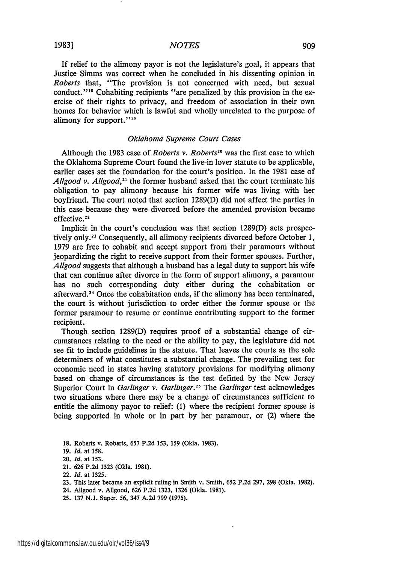If relief to the alimony payor is not the legislature's goal, it appears that Justice Simms was correct when he concluded in his dissenting opinion in *Roberts* that, "The provision is not concerned with need, but sexual conduct."<sup>18</sup> Cohabiting recipients "are penalized by this provision in the exercise of their rights to privacy, and freedom of association in their own homes for behavior which is lawful and wholly unrelated to the purpose of alimony for support."<sup>19</sup>

#### *Oklahoma Supreme Court Cases*

Although the 1983 case of *Roberts v. Roberts"* was the first case to which the Oklahoma Supreme Court found the live-in lover statute to be applicable, earlier cases set the foundation for the court's position. In the 1981 case of *Allgood v. Allgood,<sup>2</sup> '* the former husband asked that the court terminate his obligation to pay alimony because his former wife was living with her boyfriend. The court noted that section 1289(D) did not affect the parties in this case because they were divorced before the amended provision became effective. <sup>22</sup>

Implicit in the court's conclusion was that section 1289(D) acts prospectively only.<sup>23</sup> Consequently, all alimony recipients divorced before October 1, 1979 are free to cohabit and accept support from their paramours without jeopardizing the right to receive support from their former spouses. Further, *Allgood* suggests that although a husband has a legal duty to support his wife that can continue after divorce in the form of support alimony, a paramour has no such corresponding duty either during the cohabitation or afterward.<sup>24</sup> Once the cohabitation ends, if the alimony has been terminated, the court is without jurisdiction to order either the former spouse or the former paramour to resume or continue contributing support to the former recipient.

Though section 1289(D) requires proof of a substantial change of circumstances relating to the need or the ability to pay, the legislature did not see fit to include guidelines in the statute. That leaves the courts as the sole determiners of what constitutes a substantial change. The prevailing test for economic need in states having statutory provisions for modifying alimony based on change of circumstances is the test defined by the New Jersey Superior Court in *Garlinger v. Garlinger.<sup>2</sup> '* The *Garlinger* test acknowledges two situations where there may be a change of circumstances sufficient to entitle the alimony payor to relief: (1) where the recipient former spouse is being supported in whole or in part by her paramour, or (2) where the

**18.** Roberts v. Roberts, 657 **P.2d 153, 159** (Okla. 1983).

- 19. *Id.* at 158.
- 20. *Id.* at 153.
- 21. 626 P.2d 1323 (Okla. 1981).
- 22. *Id.* at 1325.
- **23.** This later became an explicit ruling in Smith v. Smith, 652 P.2d 297, 298 (Okla. 1982).
- 24. Allgood v. Allgood, 626 P.2d 1323, 1326 (Okla. 1981).
- 25. 137 N.J. Super. 56, 347 A.2d 799 (1975).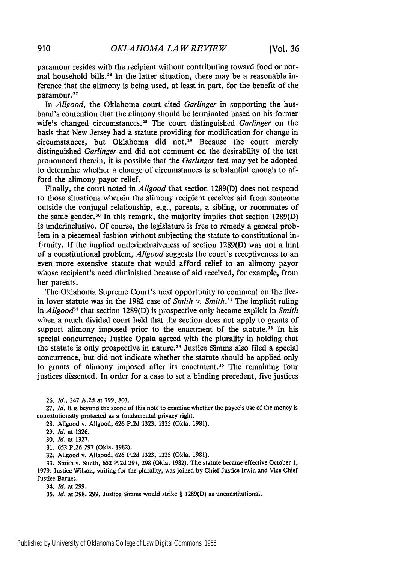paramour resides with the recipient without contributing toward food or normal household bills.<sup>26</sup> In the latter situation, there may be a reasonable inference that the alimony is being used, at least in part, for the benefit of the paramour.<sup>27</sup>

In *Allgood,* the Oklahoma court cited *Garlinger* in supporting the husband's contention that the alimony should be terminated based on his former wife's changed circumstances.<sup>28</sup> The court distinguished *Garlinger* on the basis that New Jersey had a statute providing for modification for change in circumstances, but Oklahoma did not.<sup>29</sup> Because the court merely distinguished *Garlinger* and did not comment on the desirability of the test pronounced therein, it is possible that the *Garlinger* test may yet be adopted to determine whether a change of circumstances is substantial enough to afford the alimony payor relief.

Finally, the court noted in *Allgood* that section 1289(D) does not respond to those situations wherein the alimony recipient receives aid from someone outside the conjugal relationship, e.g., parents, a sibling, or roommates of the same gender.<sup>30</sup> In this remark, the majority implies that section 1289(D) is underinclusive. Of course, the legislature is free to remedy a general problem in a piecemeal fashion without subjecting the statute to constitutional infirmity. If the implied underinclusiveness of section 1289(D) was not a hint of a constitutional problem, *Allgood* suggests the court's receptiveness to an even more extensive statute that would afford relief to an alimony payor whose recipient's need diminished because of aid received, for example, from her parents.

The Oklahoma Supreme Court's next opportunity to comment on the livein lover statute was in the 1982 case of *Smith v. Smith. <sup>3</sup> '* The implicit ruling in *Allgood32* that section 1289(D) is prospective only became explicit in *Smith* when a much divided court held that the section does not apply to grants of support alimony imposed prior to the enactment of the statute.<sup>33</sup> In his special concurrence. Justice Opala agreed with the plurality in holding that the statute is only prospective in nature.<sup>34</sup> Justice Simms also filed a special concurrence, but did not indicate whether the statute should be applied only to grants of alimony imposed after its enactment." The remaining four justices dissented. In order for a case to set a binding precedent, five justices

26. *Id.,* 347 **A.2d** at 799, 803.

27. *Id.* It is beyond the scope of this note to examine whether the payee's use of the money is constitutionally protected as a fundamental privacy right.

28. Allgood v. Allgood, 626 P.2d 1323, 1325 (Okla. 1981).

29. *Id.* at 1326.

30. *Id.* at 1327.

31. 652 P.2d 297 (Okla. 1982).

32. Allgood v. Allgood, 626 P.2d 1323, 1325 (Okla. 1981).

33. Smith v. Smith, 652 P.2d 297, 298 (Okla. 1982). The statute became effective October 1, 1979. Justice Wilson, writing for the plurality, was joined by Chief Justice Irwin and Vice Chief Justice Barnes.

34. *Id.* at 299.

35. *Id.* at 298, 299. Justice Simms would strike § 1289(D) as unconstitutional.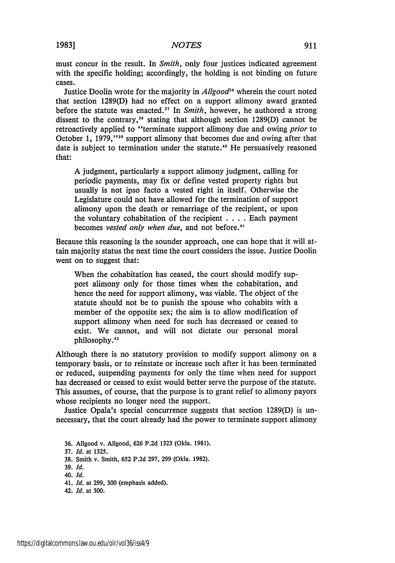must concur in the result. In *Smith,* only four justices indicated agreement with the specific holding; accordingly, the holding is not binding on future cases.

Justice Doolin wrote for the majority in *Allgood*<sup>36</sup> wherein the court noted that section 1289(D) had no effect on a support alimony award granted before the statute was enacted.<sup>37</sup> In *Smith*, however, he authored a strong dissent to the contrary,<sup>38</sup> stating that although section 1289(D) cannot be retroactively applied to "terminate support alimony due and owing *prior* to October 1, 1979,"<sup>39</sup> support alimony that becomes due and owing after that date is subject to termination under the statute.<sup>40</sup> He persuasively reasoned that:

A judgment, particularly a support alimony judgment, calling for periodic payments, may fix or define vested property rights but usually is not ipso facto a vested right in itself. Otherwise the Legislature could not have allowed for the termination of support alimony upon the death or remarriage of the recipient, or upon the voluntary cohabitation of the recipient . **. ..** Each payment becomes *vested only when due,* and not before.

Because this reasoning is the sounder approach, one can hope that it will attain majority status the next time the court considers the issue. Justice Doolin went on to suggest that:

When the cohabitation has ceased, the court should modify support alimony only for those times when the cohabitation, and hence the need for support alimony, was viable. The object of the statute should not be to punish the spouse who cohabits with a member of the opposite sex; the aim is to allow modification of support alimony when need for such has decreased or ceased to exist. We cannot, and will not dictate our personal moral philosophy.<sup>42</sup>

Although there is no statutory provision to modify support alimony on a temporary basis, or to reinstate or increase such after it has been terminated or reduced, suspending payments for only the time when need for support has decreased or ceased to exist would better serve the purpose of the statute. This assumes, of course, that the purpose is to grant relief to alimony payors whose recipients no longer need the support.

Justice Opala's special concurrence suggests that section 1289(D) is unnecessary, that the court already had the power to terminate support alimony

- **36.** Allgood v. Allgood, **626 P.2d 1323** (Okla. **1981).**
- 37. *Id.* at 1325.
- 38. Smith v. Smith, 652 P.2d 297, 299 (Okla. 1982).
- 39. *Id.*
- 40. *Id.*
- 41. *Id.* at 299, 300 (emphasis added).
- 42. *Id.* at 300.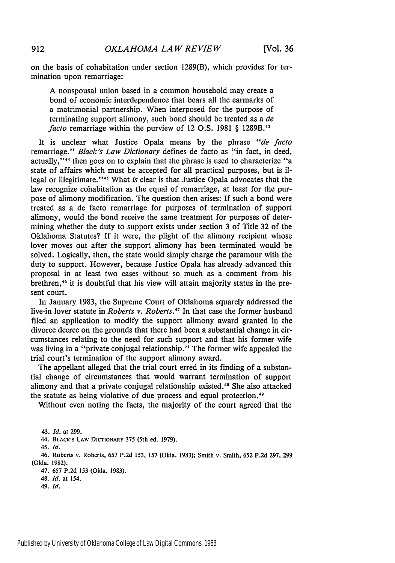on the basis of cohabitation under section 1289(B), which provides for termination upon remarriage:

A nonspousal union based in a common household may create a bond of economic interdependence that bears all the earmarks of a matrimonial partnership. When interposed for the purpose of terminating support alimony, such bond should be treated as a *de facto* remarriage within the purview of 12 O.S. 1981 § 1289B.<sup>43</sup>

It is unclear what Justice Opala means by the phrase *"de facto* remarriage." *Black's Law Dictionary* defines de facto as "in fact, in deed, actually,"<sup>44</sup> then goes on to explain that the phrase is used to characterize "a state of affairs which must be accepted for all practical purposes, but is illegal or illegitimate."<sup>45</sup> What *is* clear is that Justice Opala advocates that the law recognize cohabitation as the equal of remarriage, at least for the purpose of alimony modification. The question then arises: If such a bond were treated as a de facto remarriage for purposes of termination of support alimony, would the bond receive the same treatment for purposes of determining whether the duty to support exists under section 3 of Title 32 of the Oklahoma Statutes? If it were, the plight of the alimony recipient whose lover moves out after the support alimony has been terminated would be solved. Logically, then, the state would simply charge the paramour with the duty to support. However, because Justice Opala has already advanced this proposal in at least two cases without so much as a comment from his brethren,<sup>46</sup> it is doubtful that his view will attain majority status in the present court.

In January 1983, the Supreme Court of Oklahoma squarely addressed the live-in lover statute in *Roberts v. Roberts."7* In that case the former husband filed an application to modify the support alimony award granted in the divorce decree on the grounds that there had been a substantial change in circumstances relating to the need for such support and that his former wife was living in a "private conjugal relationship." The former wife appealed the trial court's termination of the support alimony award.

The appellant alleged that the trial court erred in its finding of a substantial change of circumstances that would warrant termination of support alimony and that a private conjugal relationship existed."' She also attacked the statute as being violative of due process and equal protection.<sup>49</sup>

Without even noting the facts, the majority of the court agreed that the

43. *Id.* at 299.

44. BLACK'S LAW DICTIONARY **375** (5th ed. 1979).

**45.** *Id.*

46. Roberts v. Roberts, 657 P.2d 153, **157** (Okla. 1983); Smith v. Smith, 652 P.2d 297, 299 (Okla. 1982).

47. 657 P.2d **153** (Okla. **1983).**

48. *Id.* at 154.

49. *Id.*

912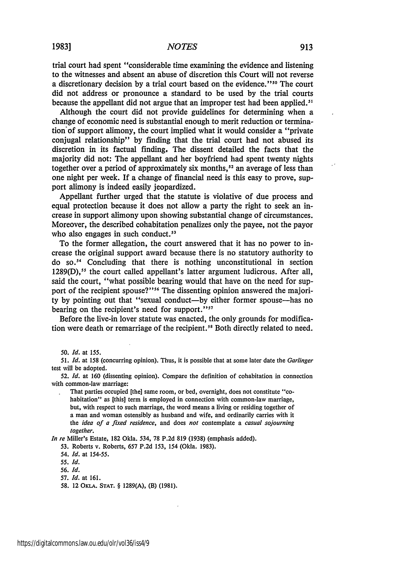trial court had spent "considerable time examining the evidence and listening to the witnesses and absent an abuse of discretion this Court will not reverse a discretionary decision by a trial court based on the evidence."<sup>50</sup> The court did not address or pronounce a standard to be used by the trial courts because the appellant did not argue that an improper test had been applied.<sup>51</sup>

Although the court did not provide guidelines for determining when a change of economic need is substantial enough to merit reduction or termination of support alimony, the court implied what it would consider a "private" conjugal relationship" by finding that the trial court had not abused its discretion in its factual finding, The dissent detailed the facts that the majority did not: The appellant and her boyfriend had spent twenty nights together over a period of approximately six months,<sup>52</sup> an average of less than one night per week. If a change of financial need is this easy to prove, support alimony is indeed easily jeopardized.

Appellant further urged that the statute is violative of due process and equal protection because it does not allow a party the right to seek an increase in support alimony upon showing substantial change of circumstances. Moreover, the described cohabitation penalizes only the payee, not the payor who also engages in such conduct.<sup>53</sup>

To the former allegation, the court answered that it has no power to increase the original support award because there is no statutory authority to do so.<sup>54</sup> Concluding that there is nothing unconstitutional in section 1289(D),<sup>55</sup> the court called appellant's latter argument ludicrous. After all, said the court, "what possible bearing would that have on the need for support of the recipient spouse?"<sup>56</sup> The dissenting opinion answered the majority by pointing out that "sexual conduct-by either former spouse-has no bearing on the recipient's need for support."<sup>57</sup>

Before the live-in lover statute was enacted, the only grounds for modification were death or remarriage of the recipient.<sup>58</sup> Both directly related to need.

50. *Id.* at 155.

*51. Id.* at **158** (concurring opinion). Thus, it is possible that at some later date the *Garlinger* test will be adopted.

52. *Id.* at **160** (dissenting opinion). Compare the definition of cohabitation in connection with common-law marriage:

That parties occupied [the] same room, or bed, overnight, does not constitute "cohabitation" as [this] term is employed in connection with common-law marriage, but, with respect to such marriage, the word means a living or residing together of a man and woman ostensibly as husband and wife, and ordinarily carries with it the *idea of a fixed residence,* and does *not* contemplate a *casual sojourning together.*

*In re* Miller's Estate, 182 Okla. 534, 78 P.2d 819 (1938) (emphasis added).

53. Roberts v. Roberts, 657 P.2d 153, 154 (Okla. 1983).

54. *Id.* at 154-55.

*55. Id.*

*56. Id.*

57. *Id.* at 161.

58. 12 OKLA. **STAT.** § 1289(A), (B) (1981).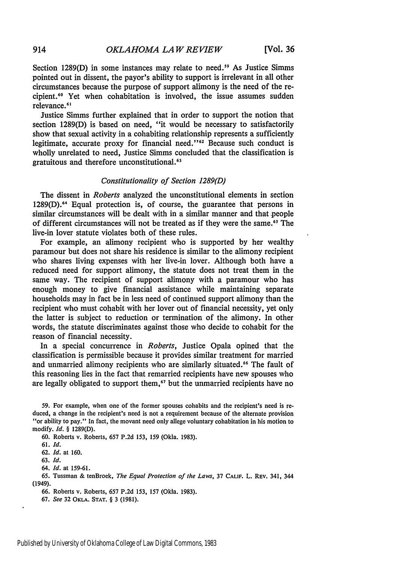Section 1289(D) in some instances may relate to need." As Justice Simms pointed out in dissent, the payor's ability to support is irrelevant in all other circumstances because the purpose of support alimony is the need of the recipient.<sup>60</sup> Yet when cohabitation is involved, the issue assumes sudden relevance.<sup>61</sup>

Justice Simms further explained that in order to support the notion that section 1289(D) is based on need, "it would be necessary to satisfactorily show that sexual activity in a cohabiting relationship represents a sufficiently legitimate, accurate proxy for financial need."<sup>62</sup> Because such conduct is wholly unrelated to need, Justice Simms concluded that the classification is gratuitous and therefore unconstitutional.<sup>63</sup>

#### *Constitutionality of Section 1289(D)*

The dissent in *Roberts* analyzed the unconstitutional elements in section 1289(D).<sup>64</sup> Equal protection is, of course, the guarantee that persons in similar circumstances will be dealt with in a similar manner and that people of different circumstances will not be treated as if they were the same.<sup>65</sup> The live-in lover statute violates both of these rules.

For example, an alimony recipient who is supported by her wealthy paramour but does not share his residence is similar to the alimony recipient who shares living expenses with her live-in lover. Although both have a reduced need for support alimony, the statute does not treat them in the same way. The recipient of support alimony with a paramour who has enough money to give financial assistance while maintaining separate households may in fact be in less need of continued support alimony than the recipient who must cohabit with her lover out of financial necessity, yet only the latter is subject to reduction or termination of the alimony. In other words, the statute discriminates against those who decide to cohabit for the reason of financial necessity.

In a special concurrence in *Roberts,* Justice Opala opined that the classification is permissible because it provides similar treatment for married and unmarried alimony recipients who are similarly situated.<sup>66</sup> The fault of this reasoning lies in the fact that remarried recipients have new spouses who are legally obligated to support them,<sup>67</sup> but the unmarried recipients have no

59. For example, when one of the former spouses cohabits and the recipient's need is reduced, a change in the recipient's need is not a requirement because of the alternate provision "or ability to pay." In fact, the movant need only allege voluntary cohabitation in his motion to modify. *Id.* § 1289(D).

60. Roberts v. Roberts, **657** P.2d 153, 159 (Okla. 1983).

61. **Id.**

62. **Id.** at 160.

63. **Id.**

64. Id. at 159-61.

**65.** Tussman & tenBroek, *The Equal Protection of the Laws,* **37 CALIF.** L. **REV.** 341, 344 (1949).

66. Roberts v. Roberts, 657 P.2d 153, 157 (Okla. 1983).

67. *See* 32 **OKLA. STAT.** § 3 (1981).